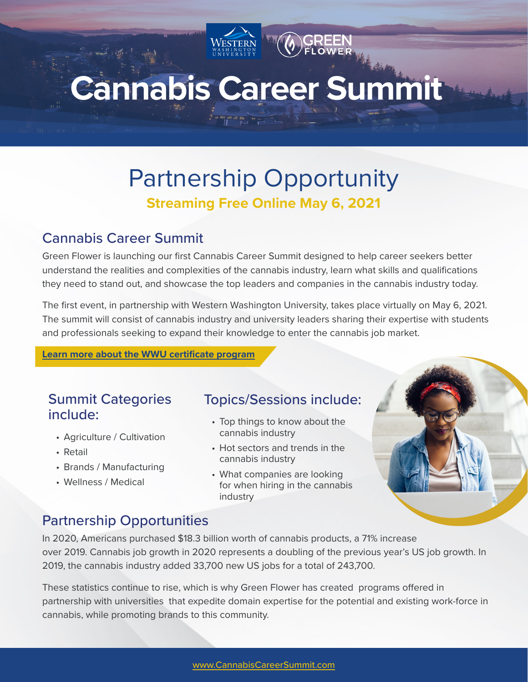# **Cannabis Career Summit**

## Partnership Opportunity **Streaming Free Online May 6, 2021**

### Cannabis Career Summit

Green Flower is launching our first Cannabis Career Summit designed to help career seekers better understand the realities and complexities of the cannabis industry, learn what skills and qualifications they need to stand out, and showcase the top leaders and companies in the cannabis industry today.

The first event, in partnership with Western Washington University, takes place virtually on May 6, 2021. The summit will consist of cannabis industry and university leaders sharing their expertise with students and professionals seeking to expand their knowledge to enter the cannabis job market.

**[Learn more about the WWU certificate program](https://wwu.cannabisstudiesonline.com/)**

### Summit Categories include:

- Agriculture / Cultivation
- Retail
- Brands / Manufacturing
- Wellness / Medical

### Topics/Sessions include:

- Top things to know about the cannabis industry
- Hot sectors and trends in the cannabis industry
- What companies are looking for when hiring in the cannabis industry

### Partnership Opportunities

In 2020, Americans purchased \$18.3 billion worth of cannabis products, a 71% increase over 2019. Cannabis job growth in 2020 represents a doubling of the previous year's US job growth. In 2019, the cannabis industry added 33,700 new US jobs for a total of 243,700.

These statistics continue to rise, which is why Green Flower has created programs offered in partnership with universities that expedite domain expertise for the potential and existing work-force in cannabis, while promoting brands to this community.